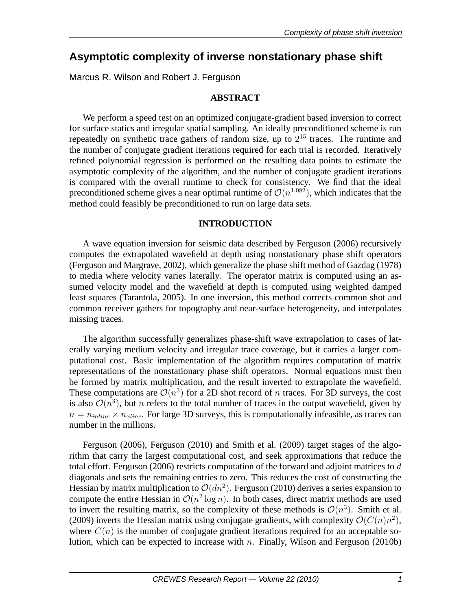# **Asymptotic complexity of inverse nonstationary phase shift**

Marcus R. Wilson and Robert J. Ferguson

## **ABSTRACT**

We perform a speed test on an optimized conjugate-gradient based inversion to correct for surface statics and irregular spatial sampling. An ideally preconditioned scheme is run repeatedly on synthetic trace gathers of random size, up to  $2^{15}$  traces. The runtime and the number of conjugate gradient iterations required for each trial is recorded. Iteratively refined polynomial regression is performed on the resulting data points to estimate the asymptotic complexity of the algorithm, and the number of conjugate gradient iterations is compared with the overall runtime to check for consistency. We find that the ideal preconditioned scheme gives a near optimal runtime of  $\mathcal{O}(n^{1.082})$ , which indicates that the method could feasibly be preconditioned to run on large data sets.

## **INTRODUCTION**

A wave equation inversion for seismic data described by Ferguson (2006) recursively computes the extrapolated wavefield at depth using nonstationary phase shift operators (Ferguson and Margrave, 2002), which generalize the phase shift method of Gazdag (1978) to media where velocity varies laterally. The operator matrix is computed using an assumed velocity model and the wavefield at depth is computed using weighted damped least squares (Tarantola, 2005). In one inversion, this method corrects common shot and common receiver gathers for topography and near-surface heterogeneity, and interpolates missing traces.

The algorithm successfully generalizes phase-shift wave extrapolation to cases of laterally varying medium velocity and irregular trace coverage, but it carries a larger computational cost. Basic implementation of the algorithm requires computation of matrix representations of the nonstationary phase shift operators. Normal equations must then be formed by matrix multiplication, and the result inverted to extrapolate the wavefield. These computations are  $\mathcal{O}(n^3)$  for a 2D shot record of *n* traces. For 3D surveys, the cost is also  $\mathcal{O}(n^3)$ , but *n* refers to the total number of traces in the output wavefield, given by  $n = n_{inline} \times n_{xline}$ . For large 3D surveys, this is computationally infeasible, as traces can number in the millions.

Ferguson (2006), Ferguson (2010) and Smith et al. (2009) target stages of the algorithm that carry the largest computational cost, and seek approximations that reduce the total effort. Ferguson (2006) restricts computation of the forward and adjoint matrices to  $d$ diagonals and sets the remaining entries to zero. This reduces the cost of constructing the Hessian by matrix multiplication to  $\mathcal{O}(dn^2)$ . Ferguson (2010) derives a series expansion to compute the entire Hessian in  $\mathcal{O}(n^2 \log n)$ . In both cases, direct matrix methods are used to invert the resulting matrix, so the complexity of these methods is  $\mathcal{O}(n^3)$ . Smith et al. (2009) inverts the Hessian matrix using conjugate gradients, with complexity  $\mathcal{O}(C(n)n^2)$ , where  $C(n)$  is the number of conjugate gradient iterations required for an acceptable solution, which can be expected to increase with  $n$ . Finally, Wilson and Ferguson (2010b)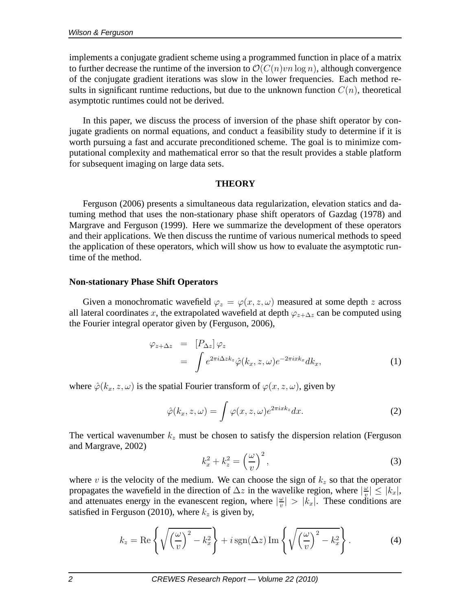implements a conjugate gradient scheme using a programmed function in place of a matrix to further decrease the runtime of the inversion to  $\mathcal{O}(C(n)vn \log n)$ , although convergence of the conjugate gradient iterations was slow in the lower frequencies. Each method results in significant runtime reductions, but due to the unknown function  $C(n)$ , theoretical asymptotic runtimes could not be derived.

In this paper, we discuss the process of inversion of the phase shift operator by conjugate gradients on normal equations, and conduct a feasibility study to determine if it is worth pursuing a fast and accurate preconditioned scheme. The goal is to minimize computational complexity and mathematical error so that the result provides a stable platform for subsequent imaging on large data sets.

#### **THEORY**

Ferguson (2006) presents a simultaneous data regularization, elevation statics and datuming method that uses the non-stationary phase shift operators of Gazdag (1978) and Margrave and Ferguson (1999). Here we summarize the development of these operators and their applications. We then discuss the runtime of various numerical methods to speed the application of these operators, which will show us how to evaluate the asymptotic runtime of the method.

## **Non-stationary Phase Shift Operators**

Given a monochromatic wavefield  $\varphi_z = \varphi(x, z, \omega)$  measured at some depth z across all lateral coordinates x, the extrapolated wavefield at depth  $\varphi_{z+\Delta z}$  can be computed using the Fourier integral operator given by (Ferguson, 2006),

$$
\varphi_{z+\Delta z} = [P_{\Delta z}] \varphi_z \n= \int e^{2\pi i \Delta z k_z} \hat{\varphi}(k_x, z, \omega) e^{-2\pi i x k_x} dk_x,
$$
\n(1)

where  $\hat{\varphi}(k_x, z, \omega)$  is the spatial Fourier transform of  $\varphi(x, z, \omega)$ , given by

$$
\hat{\varphi}(k_x, z, \omega) = \int \varphi(x, z, \omega) e^{2\pi i x k_z} dx.
$$
 (2)

The vertical wavenumber  $k_z$  must be chosen to satisfy the dispersion relation (Ferguson and Margrave, 2002)

$$
k_x^2 + k_z^2 = \left(\frac{\omega}{v}\right)^2,\tag{3}
$$

where v is the velocity of the medium. We can choose the sign of  $k_z$  so that the operator propagates the wavefield in the direction of  $\Delta z$  in the wavelike region, where  $\left|\frac{\omega}{v}\right|$  $\frac{w}{v} \leq |k_x|,$ and attenuates energy in the evanescent region, where  $\left|\frac{\omega}{v}\right|$  $\left| \frac{\omega}{v} \right| > |k_x|$ . These conditions are satisfied in Ferguson (2010), where  $k_z$  is given by,

$$
k_z = \text{Re}\left\{\sqrt{\left(\frac{\omega}{v}\right)^2 - k_x^2}\right\} + i\,\text{sgn}(\Delta z)\,\text{Im}\left\{\sqrt{\left(\frac{\omega}{v}\right)^2 - k_x^2}\right\}.\tag{4}
$$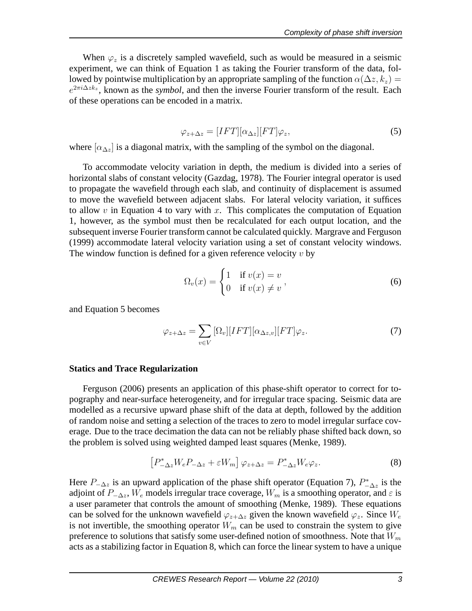When  $\varphi_z$  is a discretely sampled wavefield, such as would be measured in a seismic experiment, we can think of Equation 1 as taking the Fourier transform of the data, followed by pointwise multiplication by an appropriate sampling of the function  $\alpha(\Delta z, k_z) =$  $e^{2\pi i \Delta z k_z}$ , known as the *symbol*, and then the inverse Fourier transform of the result. Each of these operations can be encoded in a matrix.

$$
\varphi_{z+\Delta z} = [IFT][\alpha_{\Delta z}][FT]\varphi_z,\tag{5}
$$

where  $[\alpha_{\Delta z}]$  is a diagonal matrix, with the sampling of the symbol on the diagonal.

To accommodate velocity variation in depth, the medium is divided into a series of horizontal slabs of constant velocity (Gazdag, 1978). The Fourier integral operator is used to propagate the wavefield through each slab, and continuity of displacement is assumed to move the wavefield between adjacent slabs. For lateral velocity variation, it suffices to allow  $v$  in Equation 4 to vary with  $x$ . This complicates the computation of Equation 1, however, as the symbol must then be recalculated for each output location, and the subsequent inverse Fourier transform cannot be calculated quickly. Margrave and Ferguson (1999) accommodate lateral velocity variation using a set of constant velocity windows. The window function is defined for a given reference velocity  $v$  by

$$
\Omega_v(x) = \begin{cases} 1 & \text{if } v(x) = v \\ 0 & \text{if } v(x) \neq v \end{cases},\tag{6}
$$

and Equation 5 becomes

$$
\varphi_{z+\Delta z} = \sum_{v \in V} [\Omega_v][IFT][\alpha_{\Delta z,v}][FT]\varphi_z.
$$
\n(7)

#### **Statics and Trace Regularization**

Ferguson (2006) presents an application of this phase-shift operator to correct for topography and near-surface heterogeneity, and for irregular trace spacing. Seismic data are modelled as a recursive upward phase shift of the data at depth, followed by the addition of random noise and setting a selection of the traces to zero to model irregular surface coverage. Due to the trace decimation the data can not be reliably phase shifted back down, so the problem is solved using weighted damped least squares (Menke, 1989).

$$
\left[P_{-\Delta z}^* W_e P_{-\Delta z} + \varepsilon W_m\right] \varphi_{z+\Delta z} = P_{-\Delta z}^* W_e \varphi_z. \tag{8}
$$

Here  $P_{-\Delta z}$  is an upward application of the phase shift operator (Equation 7),  $P_{-\Delta z}^*$  is the adjoint of  $P_{-\Delta z}$ ,  $W_e$  models irregular trace coverage,  $W_m$  is a smoothing operator, and  $\varepsilon$  is a user parameter that controls the amount of smoothing (Menke, 1989). These equations can be solved for the unknown wavefield  $\varphi_{z+\Delta z}$  given the known wavefield  $\varphi_z$ . Since  $W_e$ is not invertible, the smoothing operator  $W_m$  can be used to constrain the system to give preference to solutions that satisfy some user-defined notion of smoothness. Note that  $W_m$ acts as a stabilizing factor in Equation 8, which can force the linear system to have a unique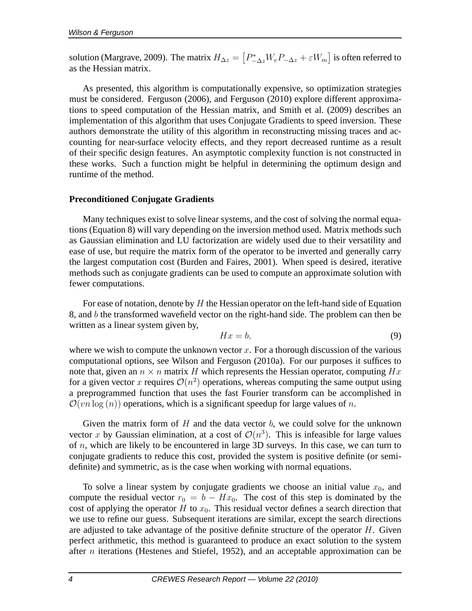solution (Margrave, 2009). The matrix  $H_{\Delta z} = \left[P_{-\Delta z}^* W_e P_{-\Delta z} + \varepsilon W_m\right]$  is often referred to as the Hessian matrix.

As presented, this algorithm is computationally expensive, so optimization strategies must be considered. Ferguson (2006), and Ferguson (2010) explore different approximations to speed computation of the Hessian matrix, and Smith et al. (2009) describes an implementation of this algorithm that uses Conjugate Gradients to speed inversion. These authors demonstrate the utility of this algorithm in reconstructing missing traces and accounting for near-surface velocity effects, and they report decreased runtime as a result of their specific design features. An asymptotic complexity function is not constructed in these works. Such a function might be helpful in determining the optimum design and runtime of the method.

## **Preconditioned Conjugate Gradients**

Many techniques exist to solve linear systems, and the cost of solving the normal equations (Equation 8) will vary depending on the inversion method used. Matrix methods such as Gaussian elimination and LU factorization are widely used due to their versatility and ease of use, but require the matrix form of the operator to be inverted and generally carry the largest computation cost (Burden and Faires, 2001). When speed is desired, iterative methods such as conjugate gradients can be used to compute an approximate solution with fewer computations.

For ease of notation, denote by  $H$  the Hessian operator on the left-hand side of Equation 8, and b the transformed wavefield vector on the right-hand side. The problem can then be written as a linear system given by,

$$
Hx = b,\t\t(9)
$$

where we wish to compute the unknown vector  $x$ . For a thorough discussion of the various computational options, see Wilson and Ferguson (2010a). For our purposes it suffices to note that, given an  $n \times n$  matrix H which represents the Hessian operator, computing Hx for a given vector x requires  $\mathcal{O}(n^2)$  operations, whereas computing the same output using a preprogrammed function that uses the fast Fourier transform can be accomplished in  $\mathcal{O}(vn \log(n))$  operations, which is a significant speedup for large values of n.

Given the matrix form of  $H$  and the data vector  $b$ , we could solve for the unknown vector x by Gaussian elimination, at a cost of  $\mathcal{O}(n^3)$ . This is infeasible for large values of  $n$ , which are likely to be encountered in large 3D surveys. In this case, we can turn to conjugate gradients to reduce this cost, provided the system is positive definite (or semidefinite) and symmetric, as is the case when working with normal equations.

To solve a linear system by conjugate gradients we choose an initial value  $x_0$ , and compute the residual vector  $r_0 = b - Hx_0$ . The cost of this step is dominated by the cost of applying the operator H to  $x_0$ . This residual vector defines a search direction that we use to refine our guess. Subsequent iterations are similar, except the search directions are adjusted to take advantage of the positive definite structure of the operator  $H$ . Given perfect arithmetic, this method is guaranteed to produce an exact solution to the system after  $n$  iterations (Hestenes and Stiefel, 1952), and an acceptable approximation can be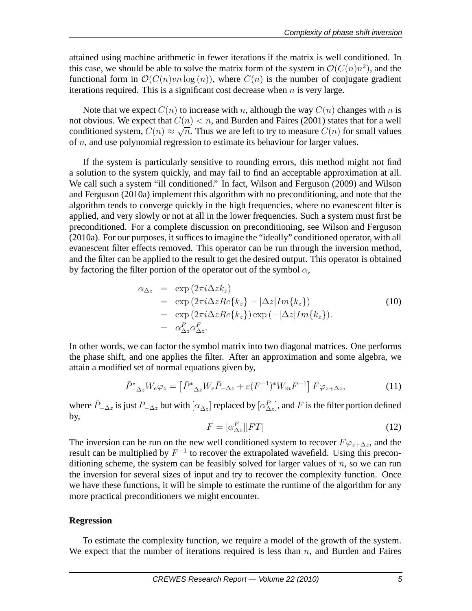attained using machine arithmetic in fewer iterations if the matrix is well conditioned. In this case, we should be able to solve the matrix form of the system in  $\mathcal{O}(C(n)n^2)$ , and the functional form in  $\mathcal{O}(C(n)vn \log(n))$ , where  $C(n)$  is the number of conjugate gradient iterations required. This is a significant cost decrease when  $n$  is very large.

Note that we expect  $C(n)$  to increase with n, although the way  $C(n)$  changes with n is not obvious. We expect that  $C(n) < n$ , and Burden and Faires (2001) states that for a well conditioned system,  $C(n) \approx \sqrt{n}$ . Thus we are left to try to measure  $C(n)$  for small values of  $n$ , and use polynomial regression to estimate its behaviour for larger values.

If the system is particularly sensitive to rounding errors, this method might not find a solution to the system quickly, and may fail to find an acceptable approximation at all. We call such a system "ill conditioned." In fact, Wilson and Ferguson (2009) and Wilson and Ferguson (2010a) implement this algorithm with no preconditioning, and note that the algorithm tends to converge quickly in the high frequencies, where no evanescent filter is applied, and very slowly or not at all in the lower frequencies. Such a system must first be preconditioned. For a complete discussion on preconditioning, see Wilson and Ferguson (2010a). For our purposes, it suffices to imagine the "ideally" conditioned operator, with all evanescent filter effects removed. This operator can be run through the inversion method, and the filter can be applied to the result to get the desired output. This operator is obtained by factoring the filter portion of the operator out of the symbol  $\alpha$ ,

$$
\alpha_{\Delta z} = \exp(2\pi i \Delta z k_z)
$$
  
\n
$$
= \exp(2\pi i \Delta z Re\{k_z\} - |\Delta z| Im\{k_z\})
$$
  
\n
$$
= \exp(2\pi i \Delta z Re\{k_z\}) \exp(-|\Delta z| Im\{k_z\}).
$$
  
\n
$$
= \alpha_{\Delta z}^P \alpha_{\Delta z}^F.
$$
 (10)

In other words, we can factor the symbol matrix into two diagonal matrices. One performs the phase shift, and one applies the filter. After an approximation and some algebra, we attain a modified set of normal equations given by,

$$
\bar{P}_{-\Delta z}^* W_e \varphi_z = \left[ \bar{P}_{-\Delta z}^* W_e \bar{P}_{-\Delta z} + \varepsilon (F^{-1})^* W_m F^{-1} \right] F \varphi_{z+\Delta z}, \tag{11}
$$

where  $\bar{P}_{-\Delta z}$  is just  $P_{-\Delta z}$  but with  $[\alpha_{\Delta z}]$  replaced by  $[\alpha_{\Delta z}^P]$ , and F is the filter portion defined by,

$$
F = [\alpha_{\Delta z}^F][FT] \tag{12}
$$

The inversion can be run on the new well conditioned system to recover  $F\varphi_{z+\Delta z}$ , and the result can be multiplied by  $F^{-1}$  to recover the extrapolated wavefield. Using this preconditioning scheme, the system can be feasibly solved for larger values of  $n$ , so we can run the inversion for several sizes of input and try to recover the complexity function. Once we have these functions, it will be simple to estimate the runtime of the algorithm for any more practical preconditioners we might encounter.

## **Regression**

To estimate the complexity function, we require a model of the growth of the system. We expect that the number of iterations required is less than  $n$ , and Burden and Faires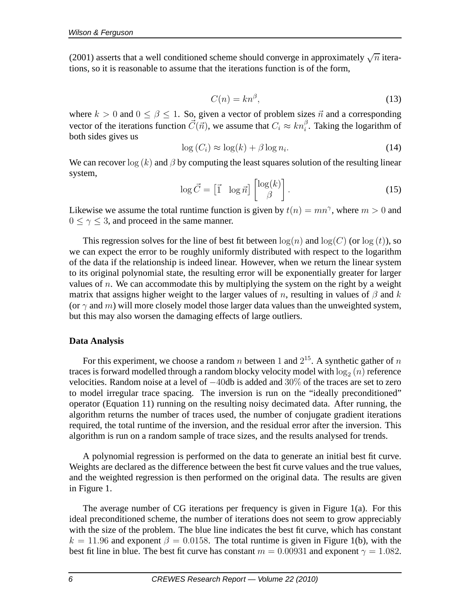(2001) asserts that a well conditioned scheme should converge in approximately  $\sqrt{n}$  iterations, so it is reasonable to assume that the iterations function is of the form,

$$
C(n) = kn^{\beta},\tag{13}
$$

where  $k > 0$  and  $0 \le \beta \le 1$ . So, given a vector of problem sizes  $\vec{n}$  and a corresponding vector of the iterations function  $\vec{C}(\vec{n})$ , we assume that  $C_i \approx kn_i^{\beta}$ . Taking the logarithm of both sides gives us

$$
\log(C_i) \approx \log(k) + \beta \log n_i. \tag{14}
$$

We can recover  $\log(k)$  and  $\beta$  by computing the least squares solution of the resulting linear system,

$$
\log \vec{C} = \begin{bmatrix} \vec{1} & \log \vec{n} \end{bmatrix} \begin{bmatrix} \log(k) \\ \beta \end{bmatrix} . \tag{15}
$$

Likewise we assume the total runtime function is given by  $t(n) = mn^{\gamma}$ , where  $m > 0$  and  $0 \le \gamma \le 3$ , and proceed in the same manner.

This regression solves for the line of best fit between  $\log(n)$  and  $\log(C)$  (or  $\log(t)$ ), so we can expect the error to be roughly uniformly distributed with respect to the logarithm of the data if the relationship is indeed linear. However, when we return the linear system to its original polynomial state, the resulting error will be exponentially greater for larger values of  $n$ . We can accommodate this by multiplying the system on the right by a weight matrix that assigns higher weight to the larger values of n, resulting in values of  $\beta$  and k (or  $\gamma$  and m) will more closely model those larger data values than the unweighted system, but this may also worsen the damaging effects of large outliers.

## **Data Analysis**

For this experiment, we choose a random n between 1 and  $2^{15}$ . A synthetic gather of n traces is forward modelled through a random blocky velocity model with  $\log_2{(n)}$  reference velocities. Random noise at a level of −40db is added and 30% of the traces are set to zero to model irregular trace spacing. The inversion is run on the "ideally preconditioned" operator (Equation 11) running on the resulting noisy decimated data. After running, the algorithm returns the number of traces used, the number of conjugate gradient iterations required, the total runtime of the inversion, and the residual error after the inversion. This algorithm is run on a random sample of trace sizes, and the results analysed for trends.

A polynomial regression is performed on the data to generate an initial best fit curve. Weights are declared as the difference between the best fit curve values and the true values, and the weighted regression is then performed on the original data. The results are given in Figure 1.

The average number of CG iterations per frequency is given in Figure 1(a). For this ideal preconditioned scheme, the number of iterations does not seem to grow appreciably with the size of the problem. The blue line indicates the best fit curve, which has constant  $k = 11.96$  and exponent  $\beta = 0.0158$ . The total runtime is given in Figure 1(b), with the best fit line in blue. The best fit curve has constant  $m = 0.00931$  and exponent  $\gamma = 1.082$ .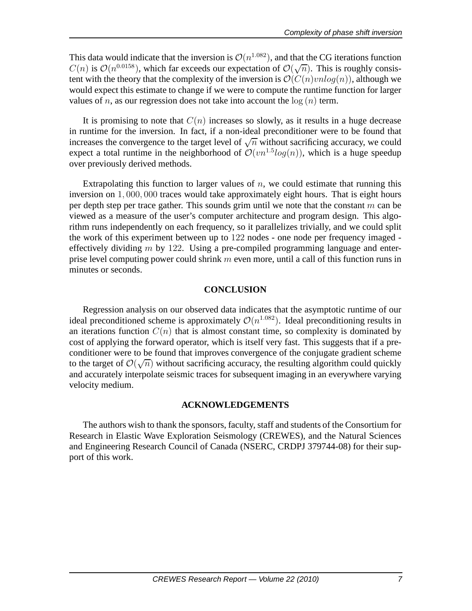This data would indicate that the inversion is  $\mathcal{O}(n^{1.082})$ , and that the CG iterations function  $C(n)$  is  $\mathcal{O}(n^{0.0158})$ , which far exceeds our expectation of  $\mathcal{O}(\sqrt{n})$ . This is roughly consistent with the theory that the complexity of the inversion is  $\mathcal{O}(C(n) \nabla u \log(n))$ , although we would expect this estimate to change if we were to compute the runtime function for larger values of *n*, as our regression does not take into account the  $log(n)$  term.

It is promising to note that  $C(n)$  increases so slowly, as it results in a huge decrease in runtime for the inversion. In fact, if a non-ideal preconditioner were to be found that increases the convergence to the target level of  $\sqrt{n}$  without sacrificing accuracy, we could expect a total runtime in the neighborhood of  $\mathcal{O}(vn^{1.5}log(n))$ , which is a huge speedup over previously derived methods.

Extrapolating this function to larger values of  $n$ , we could estimate that running this inversion on 1, 000, 000 traces would take approximately eight hours. That is eight hours per depth step per trace gather. This sounds grim until we note that the constant  $m$  can be viewed as a measure of the user's computer architecture and program design. This algorithm runs independently on each frequency, so it parallelizes trivially, and we could split the work of this experiment between up to 122 nodes - one node per frequency imaged effectively dividing  $m$  by 122. Using a pre-compiled programming language and enterprise level computing power could shrink  $m$  even more, until a call of this function runs in minutes or seconds.

#### **CONCLUSION**

Regression analysis on our observed data indicates that the asymptotic runtime of our ideal preconditioned scheme is approximately  $\mathcal{O}(n^{1.082})$ . Ideal preconditioning results in an iterations function  $C(n)$  that is almost constant time, so complexity is dominated by cost of applying the forward operator, which is itself very fast. This suggests that if a preconditioner were to be found that improves convergence of the conjugate gradient scheme to the target of  $\mathcal{O}(\sqrt{n})$  without sacrificing accuracy, the resulting algorithm could quickly and accurately interpolate seismic traces for subsequent imaging in an everywhere varying velocity medium.

#### **ACKNOWLEDGEMENTS**

The authors wish to thank the sponsors, faculty, staff and students of the Consortium for Research in Elastic Wave Exploration Seismology (CREWES), and the Natural Sciences and Engineering Research Council of Canada (NSERC, CRDPJ 379744-08) for their support of this work.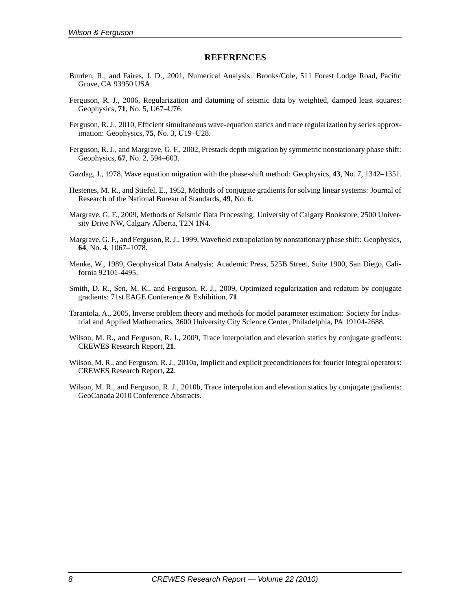#### **REFERENCES**

- Burden, R., and Faires, J. D., 2001, Numerical Analysis: Brooks/Cole, 511 Forest Lodge Road, Pacific Grove, CA 93950 USA.
- Ferguson, R. J., 2006, Regularization and datuming of seismic data by weighted, damped least squares: Geophysics, **71**, No. 5, U67–U76.
- Ferguson, R. J., 2010, Efficient simultaneous wave-equation statics and trace regularization by series approximation: Geophysics, **75**, No. 3, U19–U28.
- Ferguson, R. J., and Margrave, G. F., 2002, Prestack depth migration by symmetric nonstationary phase shift: Geophysics, **67**, No. 2, 594–603.
- Gazdag, J., 1978, Wave equation migration with the phase-shift method: Geophysics, **43**, No. 7, 1342–1351.
- Hestenes, M. R., and Stiefel, E., 1952, Methods of conjugate gradients for solving linear systems: Journal of Research of the National Bureau of Standards, **49**, No. 6.
- Margrave, G. F., 2009, Methods of Seismic Data Processing: University of Calgary Bookstore, 2500 University Drive NW, Calgary Alberta, T2N 1N4.
- Margrave, G. F., and Ferguson, R. J., 1999, Wavefield extrapolation by nonstationary phase shift: Geophysics, **64**, No. 4, 1067–1078.
- Menke, W., 1989, Geophysical Data Analysis: Academic Press, 525B Street, Suite 1900, San Diego, California 92101-4495.
- Smith, D. R., Sen, M. K., and Ferguson, R. J., 2009, Optimized regularization and redatum by conjugate gradients: 71st EAGE Conference & Exhibition, **71**.
- Tarantola, A., 2005, Inverse problem theory and methods for model parameter estimation: Society for Industrial and Applied Mathematics, 3600 University City Science Center, Philadelphia, PA 19104-2688.
- Wilson, M. R., and Ferguson, R. J., 2009, Trace interpolation and elevation statics by conjugate gradients: CREWES Research Report, **21**.
- Wilson, M. R., and Ferguson, R. J., 2010a, Implicit and explicit preconditioners for fourier integral operators: CREWES Research Report, **22**.
- Wilson, M. R., and Ferguson, R. J., 2010b, Trace interpolation and elevation statics by conjugate gradients: GeoCanada 2010 Conference Abstracts.